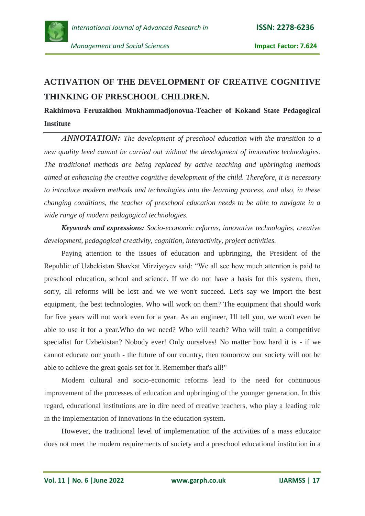

## **ACTIVATION OF THE DEVELOPMENT OF CREATIVE COGNITIVE THINKING OF PRESCHOOL CHILDREN.**

## **Rakhimova Feruzakhon Mukhammadjonovna-Teacher of Kokand State Pedagogical Institute**

*АNNOTATION: The development of preschool education with the transition to a new quality level cannot be carried out without the development of innovative technologies. The traditional methods are being replaced by active teaching and upbringing methods aimed at enhancing the creative cognitive development of the child. Therefore, it is necessary to introduce modern methods and technologies into the learning process, and also, in these changing conditions, the teacher of preschool education needs to be able to navigate in a wide range of modern pedagogical technologies.*

*Keywords and expressions: Socio-economic reforms, innovative technologies, creative development, pedagogical creativity, cognition, interactivity, project activities.*

Paying attention to the issues of education and upbringing, the President of the Republic of Uzbekistan Shavkat Mirziyoyev said: "We all see how much attention is paid to preschool education, school and science. If we do not have a basis for this system, then, sorry, all reforms will be lost and we we won't succeed. Let's say we import the best equipment, the best technologies. Who will work on them? The equipment that should work for five years will not work even for a year. As an engineer, I'll tell you, we won't even be able to use it for a year.Who do we need? Who will teach? Who will train a competitive specialist for Uzbekistan? Nobody ever! Only ourselves! No matter how hard it is - if we cannot educate our youth - the future of our country, then tomorrow our society will not be able to achieve the great goals set for it. Remember that's all!"

Modern cultural and socio-economic reforms lead to the need for continuous improvement of the processes of education and upbringing of the younger generation. In this regard, educational institutions are in dire need of creative teachers, who play a leading role in the implementation of innovations in the education system.

However, the traditional level of implementation of the activities of a mass educator does not meet the modern requirements of society and a preschool educational institution in a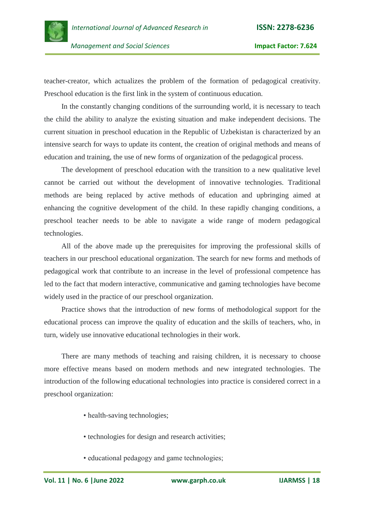

 *Management and Social Sciences* **Impact Factor: 7.624**

teacher-creator, which actualizes the problem of the formation of pedagogical creativity. Preschool education is the first link in the system of continuous education.

In the constantly changing conditions of the surrounding world, it is necessary to teach the child the ability to analyze the existing situation and make independent decisions. The current situation in preschool education in the Republic of Uzbekistan is characterized by an intensive search for ways to update its content, the creation of original methods and means of education and training, the use of new forms of organization of the pedagogical process.

The development of preschool education with the transition to a new qualitative level cannot be carried out without the development of innovative technologies. Traditional methods are being replaced by active methods of education and upbringing aimed at enhancing the cognitive development of the child. In these rapidly changing conditions, a preschool teacher needs to be able to navigate a wide range of modern pedagogical technologies.

All of the above made up the prerequisites for improving the professional skills of teachers in our preschool educational organization. The search for new forms and methods of pedagogical work that contribute to an increase in the level of professional competence has led to the fact that modern interactive, communicative and gaming technologies have become widely used in the practice of our preschool organization.

Practice shows that the introduction of new forms of methodological support for the educational process can improve the quality of education and the skills of teachers, who, in turn, widely use innovative educational technologies in their work.

There are many methods of teaching and raising children, it is necessary to choose more effective means based on modern methods and new integrated technologies. The introduction of the following educational technologies into practice is considered correct in a preschool organization:

- health-saving technologies;
- technologies for design and research activities;
- educational pedagogy and game technologies;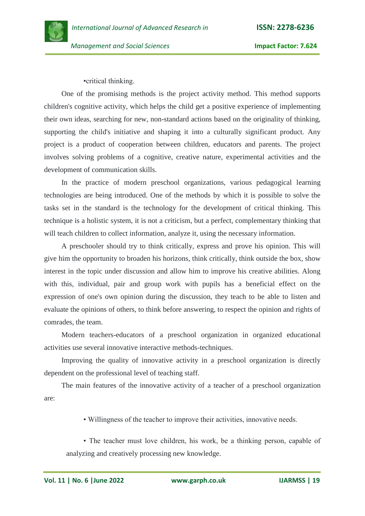*Management and Social Sciences* **Impact Factor: 7.624**

•critical thinking.

One of the promising methods is the project activity method. This method supports children's cognitive activity, which helps the child get a positive experience of implementing their own ideas, searching for new, non-standard actions based on the originality of thinking, supporting the child's initiative and shaping it into a culturally significant product. Any project is a product of cooperation between children, educators and parents. The project involves solving problems of a cognitive, creative nature, experimental activities and the development of communication skills.

In the practice of modern preschool organizations, various pedagogical learning technologies are being introduced. One of the methods by which it is possible to solve the tasks set in the standard is the technology for the development of critical thinking. This technique is a holistic system, it is not a criticism, but a perfect, complementary thinking that will teach children to collect information, analyze it, using the necessary information.

A preschooler should try to think critically, express and prove his opinion. This will give him the opportunity to broaden his horizons, think critically, think outside the box, show interest in the topic under discussion and allow him to improve his creative abilities. Along with this, individual, pair and group work with pupils has a beneficial effect on the expression of one's own opinion during the discussion, they teach to be able to listen and evaluate the opinions of others, to think before answering, to respect the opinion and rights of comrades, the team.

Modern teachers-educators of a preschool organization in organized educational activities use several innovative interactive methods-techniques.

Improving the quality of innovative activity in a preschool organization is directly dependent on the professional level of teaching staff.

The main features of the innovative activity of a teacher of a preschool organization are:

• Willingness of the teacher to improve their activities, innovative needs.

• The teacher must love children, his work, be a thinking person, capable of analyzing and creatively processing new knowledge.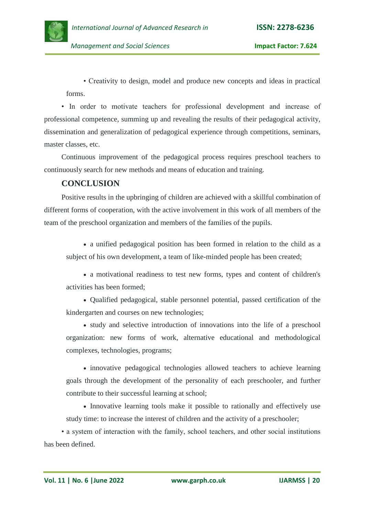

• Creativity to design, model and produce new concepts and ideas in practical forms.

• In order to motivate teachers for professional development and increase of professional competence, summing up and revealing the results of their pedagogical activity, dissemination and generalization of pedagogical experience through competitions, seminars, master classes, etc.

Continuous improvement of the pedagogical process requires preschool teachers to continuously search for new methods and means of education and training.

## **CONCLUSION**

Positive results in the upbringing of children are achieved with a skillful combination of different forms of cooperation, with the active involvement in this work of all members of the team of the preschool organization and members of the families of the pupils.

 a unified pedagogical position has been formed in relation to the child as a subject of his own development, a team of like-minded people has been created;

 a motivational readiness to test new forms, types and content of children's activities has been formed;

 Qualified pedagogical, stable personnel potential, passed certification of the kindergarten and courses on new technologies;

 study and selective introduction of innovations into the life of a preschool organization: new forms of work, alternative educational and methodological complexes, technologies, programs;

 innovative pedagogical technologies allowed teachers to achieve learning goals through the development of the personality of each preschooler, and further contribute to their successful learning at school;

• Innovative learning tools make it possible to rationally and effectively use study time: to increase the interest of children and the activity of a preschooler;

• a system of interaction with the family, school teachers, and other social institutions has been defined.